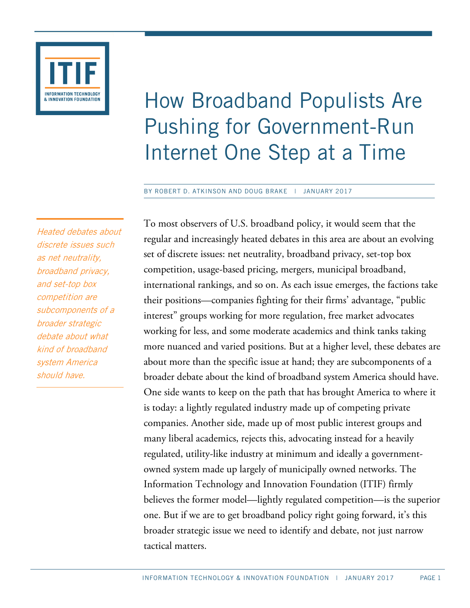

# How Broadband Populists Are Pushing for Government-Run Internet One Step at a Time

BY ROBERT D. ATKINSON AND DOUG BRAKE | JANUARY 2017

Heated debates about discrete issues such as net neutrality, broadband privacy, and set-top box competition are subcomponents of a broader strategic debate about what kind of broadband system America should have.

To most observers of U.S. broadband policy, it would seem that the regular and increasingly heated debates in this area are about an evolving set of discrete issues: net neutrality, broadband privacy, set-top box competition, usage-based pricing, mergers, municipal broadband, international rankings, and so on. As each issue emerges, the factions take their positions—companies fighting for their firms' advantage, "public interest" groups working for more regulation, free market advocates working for less, and some moderate academics and think tanks taking more nuanced and varied positions. But at a higher level, these debates are about more than the specific issue at hand; they are subcomponents of a broader debate about the kind of broadband system America should have. One side wants to keep on the path that has brought America to where it is today: a lightly regulated industry made up of competing private companies. Another side, made up of most public interest groups and many liberal academics, rejects this, advocating instead for a heavily regulated, utility-like industry at minimum and ideally a governmentowned system made up largely of municipally owned networks. The Information Technology and Innovation Foundation (ITIF) firmly believes the former model—lightly regulated competition—is the superior one. But if we are to get broadband policy right going forward, it's this broader strategic issue we need to identify and debate, not just narrow tactical matters.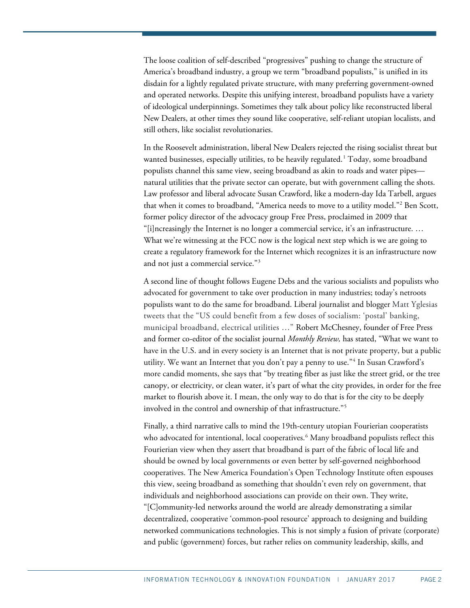The loose coalition of self-described "progressives" pushing to change the structure of America's broadband industry, a group we term "broadband populists," is unified in its disdain for a lightly regulated private structure, with many preferring government-owned and operated networks. Despite this unifying interest, broadband populists have a variety of ideological underpinnings. Sometimes they talk about policy like reconstructed liberal New Dealers, at other times they sound like cooperative, self-reliant utopian localists, and still others, like socialist revolutionaries.

In the Roosevelt administration, liberal New Dealers rejected the rising socialist threat but wanted businesses, especially utilities, to be heavily regulated.<sup>[1](#page-20-0)</sup> Today, some broadband populists channel this same view, seeing broadband as akin to roads and water pipes natural utilities that the private sector can operate, but with government calling the shots. Law professor and liberal advocate Susan Crawford, like a modern-day Ida Tarbell, argues that when it comes to broadband, "America needs to move to a utility model."<sup>[2](#page-20-1)</sup> Ben Scott, former policy director of the advocacy group Free Press, proclaimed in 2009 that "[i]ncreasingly the Internet is no longer a commercial service, it's an infrastructure. … What we're witnessing at the FCC now is the logical next step which is we are going to create a regulatory framework for the Internet which recognizes it is an infrastructure now and not just a commercial service."[3](#page-20-2)

A second line of thought follows Eugene Debs and the various socialists and populists who advocated for government to take over production in many industries; today's netroots populists want to do the same for broadband. Liberal journalist and blogger Matt Yglesias tweets that the "US could benefit from a few doses of socialism: 'postal' banking, municipal broadband, electrical utilities …" Robert McChesney, founder of Free Press and former co-editor of the socialist journal *Monthly Review,* has stated, "What we want to have in the U.S. and in every society is an Internet that is not private property, but a public utility. We want an Internet that you don't pay a penny to use."<sup>[4](#page-20-3)</sup> In Susan Crawford's more candid moments, she says that "by treating fiber as just like the street grid, or the tree canopy, or electricity, or clean water, it's part of what the city provides, in order for the free market to flourish above it. I mean, the only way to do that is for the city to be deeply involved in the control and ownership of that infrastructure."[5](#page-20-4)

Finally, a third narrative calls to mind the 19th-century utopian Fourierian cooperatists who advocated for intentional, local cooperatives.<sup>[6](#page-20-5)</sup> Many broadband populists reflect this Fourierian view when they assert that broadband is part of the fabric of local life and should be owned by local governments or even better by self-governed neighborhood cooperatives. The New America Foundation's Open Technology Institute often espouses this view, seeing broadband as something that shouldn't even rely on government, that individuals and neighborhood associations can provide on their own. They write, "[C]ommunity-led networks around the world are already demonstrating a similar decentralized, cooperative 'common-pool resource' approach to designing and building networked communications technologies. This is not simply a fusion of private (corporate) and public (government) forces, but rather relies on community leadership, skills, and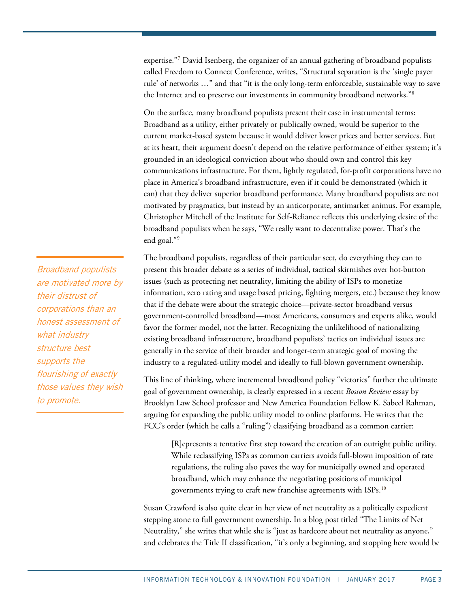expertise."<sup>[7](#page-20-6)</sup> David Isenberg, the organizer of an annual gathering of broadband populists called Freedom to Connect Conference, writes, "Structural separation is the 'single payer rule' of networks …" and that "it is the only long-term enforceable, sustainable way to save the Internet and to preserve our investments in community broadband networks."[8](#page-20-7)

On the surface, many broadband populists present their case in instrumental terms: Broadband as a utility, either privately or publically owned, would be superior to the current market-based system because it would deliver lower prices and better services. But at its heart, their argument doesn't depend on the relative performance of either system; it's grounded in an ideological conviction about who should own and control this key communications infrastructure. For them, lightly regulated, for-profit corporations have no place in America's broadband infrastructure, even if it could be demonstrated (which it can) that they deliver superior broadband performance. Many broadband populists are not motivated by pragmatics, but instead by an anticorporate, antimarket animus. For example, Christopher Mitchell of the Institute for Self-Reliance reflects this underlying desire of the broadband populists when he says, "We really want to decentralize power. That's the end goal."[9](#page-20-8)

The broadband populists, regardless of their particular sect, do everything they can to present this broader debate as a series of individual, tactical skirmishes over hot-button issues (such as protecting net neutrality, limiting the ability of ISPs to monetize information, zero rating and usage based pricing, fighting mergers, etc.) because they know that if the debate were about the strategic choice—private-sector broadband versus government-controlled broadband—most Americans, consumers and experts alike, would favor the former model, not the latter. Recognizing the unlikelihood of nationalizing existing broadband infrastructure, broadband populists' tactics on individual issues are generally in the service of their broader and longer-term strategic goal of moving the industry to a regulated-utility model and ideally to full-blown government ownership.

This line of thinking, where incremental broadband policy "victories" further the ultimate goal of government ownership, is clearly expressed in a recent *Boston Review* essay by Brooklyn Law School professor and New America Foundation Fellow K. Sabeel Rahman, arguing for expanding the public utility model to online platforms. He writes that the FCC's order (which he calls a "ruling") classifying broadband as a common carrier:

[R]epresents a tentative first step toward the creation of an outright public utility. While reclassifying ISPs as common carriers avoids full-blown imposition of rate regulations, the ruling also paves the way for municipally owned and operated broadband, which may enhance the negotiating positions of municipal governments trying to craft new franchise agreements with ISPs.[10](#page-20-9)

Susan Crawford is also quite clear in her view of net neutrality as a politically expedient stepping stone to full government ownership. In a blog post titled "The Limits of Net Neutrality," she writes that while she is "just as hardcore about net neutrality as anyone," and celebrates the Title II classification, "it's only a beginning, and stopping here would be

Broadband populists are motivated more by their distrust of corporations than an honest assessment of what industry structure best supports the flourishing of exactly those values they wish to promote.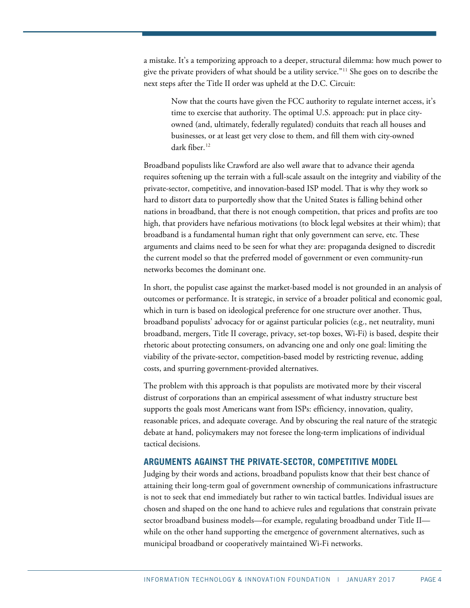a mistake. It's a temporizing approach to a deeper, structural dilemma: how much power to give the private providers of what should be a utility service."[11](#page-20-10) She goes on to describe the next steps after the Title II order was upheld at the D.C. Circuit:

Now that the courts have given the FCC authority to regulate internet access, it's time to exercise that authority. The optimal U.S. approach: put in place cityowned (and, ultimately, federally regulated) conduits that reach all houses and businesses, or at least get very close to them, and fill them with city-owned dark fiber.<sup>[12](#page-20-11)</sup>

Broadband populists like Crawford are also well aware that to advance their agenda requires softening up the terrain with a full-scale assault on the integrity and viability of the private-sector, competitive, and innovation-based ISP model. That is why they work so hard to distort data to purportedly show that the United States is falling behind other nations in broadband, that there is not enough competition, that prices and profits are too high, that providers have nefarious motivations (to block legal websites at their whim); that broadband is a fundamental human right that only government can serve, etc. These arguments and claims need to be seen for what they are: propaganda designed to discredit the current model so that the preferred model of government or even community-run networks becomes the dominant one.

In short, the populist case against the market-based model is not grounded in an analysis of outcomes or performance. It is strategic, in service of a broader political and economic goal, which in turn is based on ideological preference for one structure over another. Thus, broadband populists' advocacy for or against particular policies (e.g., net neutrality, muni broadband, mergers, Title II coverage, privacy, set-top boxes, Wi-Fi) is based, despite their rhetoric about protecting consumers, on advancing one and only one goal: limiting the viability of the private-sector, competition-based model by restricting revenue, adding costs, and spurring government-provided alternatives.

The problem with this approach is that populists are motivated more by their visceral distrust of corporations than an empirical assessment of what industry structure best supports the goals most Americans want from ISPs: efficiency, innovation, quality, reasonable prices, and adequate coverage. And by obscuring the real nature of the strategic debate at hand, policymakers may not foresee the long-term implications of individual tactical decisions.

# **ARGUMENTS AGAINST THE PRIVATE-SECTOR, COMPETITIVE MODEL**

Judging by their words and actions, broadband populists know that their best chance of attaining their long-term goal of government ownership of communications infrastructure is not to seek that end immediately but rather to win tactical battles. Individual issues are chosen and shaped on the one hand to achieve rules and regulations that constrain private sector broadband business models—for example, regulating broadband under Title II while on the other hand supporting the emergence of government alternatives, such as municipal broadband or cooperatively maintained Wi-Fi networks.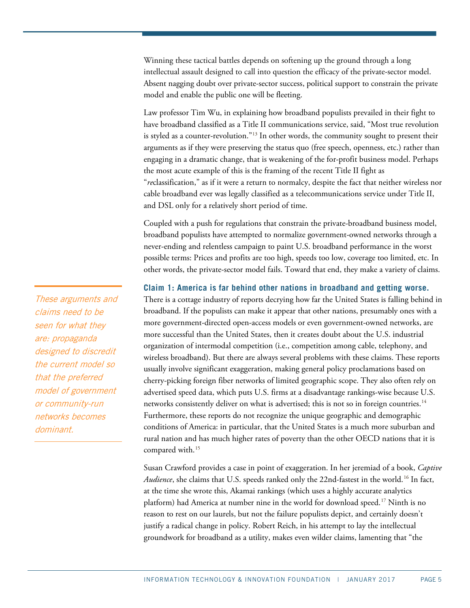Winning these tactical battles depends on softening up the ground through a long intellectual assault designed to call into question the efficacy of the private-sector model. Absent nagging doubt over private-sector success, political support to constrain the private model and enable the public one will be fleeting.

Law professor Tim Wu, in explaining how broadband populists prevailed in their fight to have broadband classified as a Title II communications service, said, "Most true revolution is styled as a counter-revolution." $13$  In other words, the community sought to present their arguments as if they were preserving the status quo (free speech, openness, etc.) rather than engaging in a dramatic change, that is weakening of the for-profit business model. Perhaps the most acute example of this is the framing of the recent Title II fight as "*re*classification," as if it were a return to normalcy, despite the fact that neither wireless nor cable broadband ever was legally classified as a telecommunications service under Title II, and DSL only for a relatively short period of time.

Coupled with a push for regulations that constrain the private-broadband business model, broadband populists have attempted to normalize government-owned networks through a never-ending and relentless campaign to paint U.S. broadband performance in the worst possible terms: Prices and profits are too high, speeds too low, coverage too limited, etc. In other words, the private-sector model fails. Toward that end, they make a variety of claims.

# **Claim 1: America is far behind other nations in broadband and getting worse.**

There is a cottage industry of reports decrying how far the United States is falling behind in broadband. If the populists can make it appear that other nations, presumably ones with a more government-directed open-access models or even government-owned networks, are more successful than the United States, then it creates doubt about the U.S. industrial organization of intermodal competition (i.e., competition among cable, telephony, and wireless broadband). But there are always several problems with these claims. These reports usually involve significant exaggeration, making general policy proclamations based on cherry-picking foreign fiber networks of limited geographic scope. They also often rely on advertised speed data, which puts U.S. firms at a disadvantage rankings-wise because U.S. networks consistently deliver on what is advertised; this is not so in foreign countries.<sup>[14](#page-20-13)</sup> Furthermore, these reports do not recognize the unique geographic and demographic conditions of America: in particular, that the United States is a much more suburban and rural nation and has much higher rates of poverty than the other OECD nations that it is compared with. [15](#page-21-0)

Susan Crawford provides a case in point of exaggeration. In her jeremiad of a book, *Captive Audience*, she claims that U.S. speeds ranked only the 22nd-fastest in the world.<sup>[16](#page-21-1)</sup> In fact, at the time she wrote this, Akamai rankings (which uses a highly accurate analytics platform) had America at number nine in the world for download speed.<sup>[17](#page-21-2)</sup> Ninth is no reason to rest on our laurels, but not the failure populists depict, and certainly doesn't justify a radical change in policy. Robert Reich, in his attempt to lay the intellectual groundwork for broadband as a utility, makes even wilder claims, lamenting that "the

These arguments and claims need to be seen for what they are: propaganda designed to discredit the current model so that the preferred model of government or community-run networks becomes dominant.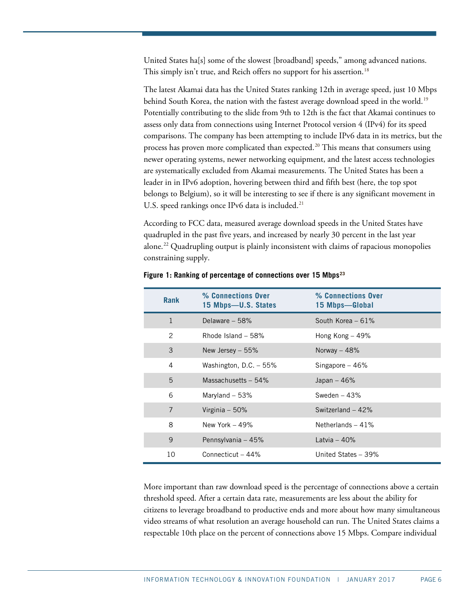United States ha[s] some of the slowest [broadband] speeds," among advanced nations. This simply isn't true, and Reich offers no support for his assertion. [18](#page-21-3)

The latest Akamai data has the United States ranking 12th in average speed, just 10 Mbps behind South Korea, the nation with the fastest average download speed in the world.<sup>[19](#page-21-4)</sup> Potentially contributing to the slide from 9th to 12th is the fact that Akamai continues to assess only data from connections using Internet Protocol version 4 (IPv4) for its speed comparisons. The company has been attempting to include IPv6 data in its metrics, but the process has proven more complicated than expected.<sup>[20](#page-21-5)</sup> This means that consumers using newer operating systems, newer networking equipment, and the latest access technologies are systematically excluded from Akamai measurements. The United States has been a leader in in IPv6 adoption, hovering between third and fifth best (here, the top spot belongs to Belgium), so it will be interesting to see if there is any significant movement in U.S. speed rankings once IPv6 data is included. $^{21}$  $^{21}$  $^{21}$ 

According to FCC data, measured average download speeds in the United States have quadrupled in the past five years, and increased by nearly 30 percent in the last year alone.[22](#page-21-7) Quadrupling output is plainly inconsistent with claims of rapacious monopolies constraining supply.

| <b>Rank</b>  | % Connections Over<br>15 Mbps-U.S. States | % Connections Over<br>15 Mbps-Global |  |
|--------------|-------------------------------------------|--------------------------------------|--|
| $\mathbf{1}$ | Delaware $-58%$                           | South Korea $-61%$                   |  |
| 2            | Rhode Island $-58%$                       | Hong Kong $-49\%$                    |  |
| 3            | New Jersey $-55%$                         | Norway - 48%                         |  |
| 4            | Washington, D.C. $-55%$                   | Singapore $-46%$                     |  |
| 5            | Massachusetts $-54\%$                     | Japan $-46%$                         |  |
| 6            | Maryland $-53%$                           | Sweden $-43%$                        |  |
| 7            | Virginia $-50\%$                          | Switzerland $-42%$                   |  |
| 8            | New York $-49%$                           | Netherlands $-41%$                   |  |
| 9            | Pennsylvania - 45%                        | Latvia $-40%$                        |  |
| 10           | Connecticut $-44%$                        | United States - 39%                  |  |

#### **Figure 1: Ranking of percentage of connections over 15 Mbps[23](#page-21-8)**

More important than raw download speed is the percentage of connections above a certain threshold speed. After a certain data rate, measurements are less about the ability for citizens to leverage broadband to productive ends and more about how many simultaneous video streams of what resolution an average household can run. The United States claims a respectable 10th place on the percent of connections above 15 Mbps. Compare individual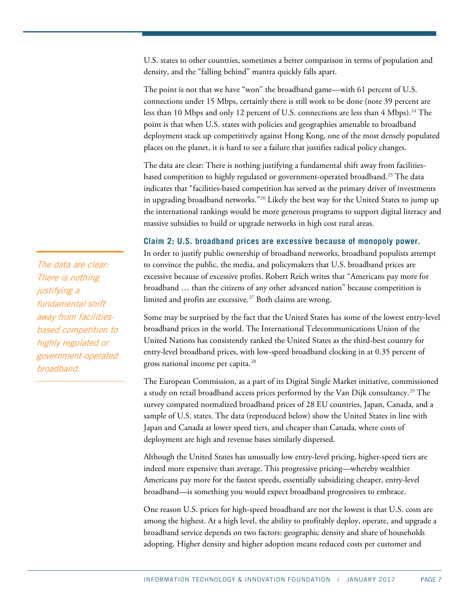U.S. states to other countries, sometimes a better comparison in terms of population and density, and the "falling behind" mantra quickly falls apart.

The point is not that we have "won" the broadband game—with 61 percent of U.S. connections under 15 Mbps, certainly there is still work to be done (note 39 percent are less than 10 Mbps and only 12 percent of U.S. connections are less than 4 Mbps).<sup>[24](#page-21-9)</sup> The point is that when U.S. states with policies and geographies amenable to broadband deployment stack up competitively against Hong Kong, one of the most densely populated places on the planet, it is hard to see a failure that justifies radical policy changes.

The data are clear: There is nothing justifying a fundamental shift away from facilitiesbased competition to highly regulated or government-operated broadband.<sup>25</sup> The data indicates that "facilities-based competition has served as the primary driver of investments in upgrading broadband networks.["26](#page-21-11) Likely the best way for the United States to jump up the international rankings would be more generous programs to support digital literacy and massive subsidies to build or upgrade networks in high cost rural areas.

# **Claim 2: U.S. broadband prices are excessive because of monopoly power.**

In order to justify public ownership of broadband networks, broadband populists attempt to convince the public, the media, and policymakers that U.S. broadband prices are excessive because of excessive profits. Robert Reich writes that "Americans pay more for broadband … than the citizens of any other advanced nation" because competition is limited and profits are excessive.<sup>[27](#page-21-12)</sup> Both claims are wrong.

Some may be surprised by the fact that the United States has some of the lowest entry-level broadband prices in the world. The International Telecommunications Union of the United Nations has consistently ranked the United States as the third-best country for entry-level broadband prices, with low-speed broadband clocking in at 0.35 percent of gross national income per capita.<sup>[28](#page-21-13)</sup>

The European Commission, as a part of its Digital Single Market initiative, commissioned a study on retail broadband access prices performed by the Van Dijk consultancy. [29](#page-21-14) The survey compared normalized broadband prices of 28 EU countries, Japan, Canada, and a sample of U.S. states. The data (reproduced below) show the United States in line with Japan and Canada at lower speed tiers, and cheaper than Canada, where costs of deployment are high and revenue bases similarly dispersed.

Although the United States has unusually low entry-level pricing, higher-speed tiers are indeed more expensive than average. This progressive pricing—whereby wealthier Americans pay more for the fastest speeds, essentially subsidizing cheaper, entry-level broadband—is something you would expect broadband progressives to embrace.

One reason U.S. prices for high-speed broadband are not the lowest is that U.S. costs are among the highest. At a high level, the ability to profitably deploy, operate, and upgrade a broadband service depends on two factors: geographic density and share of households adopting. Higher density and higher adoption means reduced costs per customer and

The data are clear: There is nothing justifying a fundamental shift away from facilitiesbased competition to highly regulated or government-operated broadband.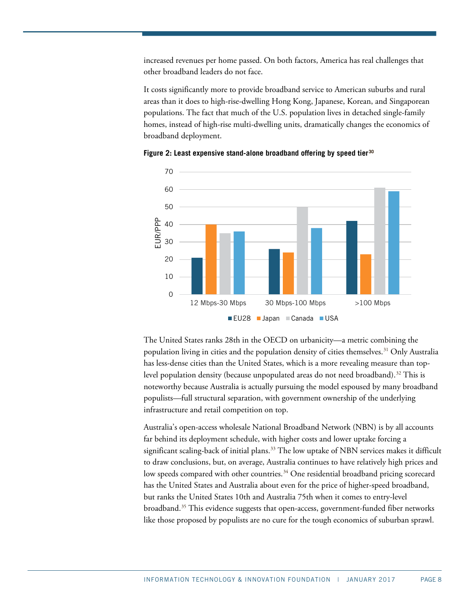increased revenues per home passed. On both factors, America has real challenges that other broadband leaders do not face.

It costs significantly more to provide broadband service to American suburbs and rural areas than it does to high-rise-dwelling Hong Kong, Japanese, Korean, and Singaporean populations. The fact that much of the U.S. population lives in detached single-family homes, instead of high-rise multi-dwelling units, dramatically changes the economics of broadband deployment.



**Figure 2: Least expensive stand-alone broadband offering by speed tier[30](#page-21-15)**

The United States ranks 28th in the OECD on urbanicity—a metric combining the population living in cities and the population density of cities themselves. [31](#page-21-16) Only Australia has less-dense cities than the United States, which is a more revealing measure than toplevel population density (because unpopulated areas do not need broadband). [32](#page-21-17) This is noteworthy because Australia is actually pursuing the model espoused by many broadband populists—full structural separation, with government ownership of the underlying infrastructure and retail competition on top.

Australia's open-access wholesale National Broadband Network (NBN) is by all accounts far behind its deployment schedule, with higher costs and lower uptake forcing a significant scaling-back of initial plans. [33](#page-21-18) The low uptake of NBN services makes it difficult to draw conclusions, but, on average, Australia continues to have relatively high prices and low speeds compared with other countries.<sup>[34](#page-21-19)</sup> One residential broadband pricing scorecard has the United States and Australia about even for the price of higher-speed broadband, but ranks the United States 10th and Australia 75th when it comes to entry-level broadband.[35](#page-22-0) This evidence suggests that open-access, government-funded fiber networks like those proposed by populists are no cure for the tough economics of suburban sprawl.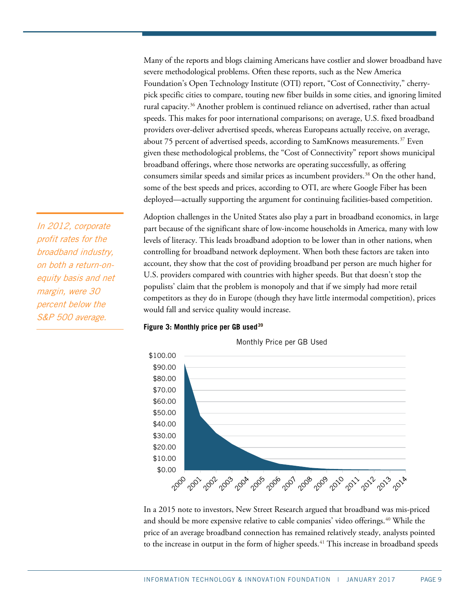Many of the reports and blogs claiming Americans have costlier and slower broadband have severe methodological problems. Often these reports, such as the New America Foundation's Open Technology Institute (OTI) report, "Cost of Connectivity," cherrypick specific cities to compare, touting new fiber builds in some cities, and ignoring limited rural capacity.[36](#page-22-1) Another problem is continued reliance on advertised, rather than actual speeds. This makes for poor international comparisons; on average, U.S. fixed broadband providers over-deliver advertised speeds, whereas Europeans actually receive, on average, about 75 percent of advertised speeds, according to SamKnows measurements.<sup>[37](#page-22-2)</sup> Even given these methodological problems, the "Cost of Connectivity" report shows municipal broadband offerings, where those networks are operating successfully, as offering consumers similar speeds and similar prices as incumbent providers. [38](#page-22-3) On the other hand, some of the best speeds and prices, according to OTI, are where Google Fiber has been deployed—actually supporting the argument for continuing facilities-based competition.

Adoption challenges in the United States also play a part in broadband economics, in large part because of the significant share of low-income households in America, many with low levels of literacy. This leads broadband adoption to be lower than in other nations, when controlling for broadband network deployment. When both these factors are taken into account, they show that the cost of providing broadband per person are much higher for U.S. providers compared with countries with higher speeds. But that doesn't stop the populists' claim that the problem is monopoly and that if we simply had more retail competitors as they do in Europe (though they have little intermodal competition), prices would fall and service quality would increase.

### **Figure 3: Monthly price per GB used[39](#page-22-4)**



In a 2015 note to investors, New Street Research argued that broadband was mis-priced and should be more expensive relative to cable companies' video offerings.[40](#page-22-5) While the price of an average broadband connection has remained relatively steady, analysts pointed to the increase in output in the form of higher speeds.<sup>[41](#page-22-6)</sup> This increase in broadband speeds

In 2012, corporate profit rates for the broadband industry, on both a return-onequity basis and net margin, were 30 percent below the S&P 500 average.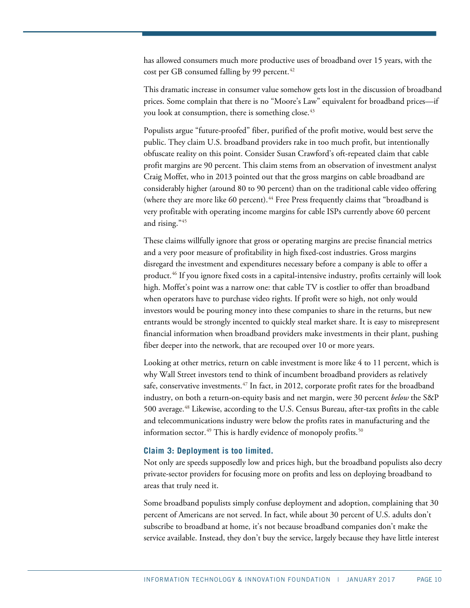has allowed consumers much more productive uses of broadband over 15 years, with the cost per GB consumed falling by 99 percent.<sup>[42](#page-22-7)</sup>

This dramatic increase in consumer value somehow gets lost in the discussion of broadband prices. Some complain that there is no "Moore's Law" equivalent for broadband prices—if you look at consumption, there is something close.<sup>[43](#page-22-8)</sup>

Populists argue "future-proofed" fiber, purified of the profit motive, would best serve the public. They claim U.S. broadband providers rake in too much profit, but intentionally obfuscate reality on this point. Consider Susan Crawford's oft-repeated claim that cable profit margins are 90 percent. This claim stems from an observation of investment analyst Craig Moffet, who in 2013 pointed out that the gross margins on cable broadband are considerably higher (around 80 to 90 percent) than on the traditional cable video offering (where they are more like 60 percent).<sup>[44](#page-22-9)</sup> Free Press frequently claims that "broadband is very profitable with operating income margins for cable ISPs currently above 60 percent and rising."[45](#page-22-10)

These claims willfully ignore that gross or operating margins are precise financial metrics and a very poor measure of profitability in high fixed-cost industries. Gross margins disregard the investment and expenditures necessary before a company is able to offer a product.[46](#page-22-11) If you ignore fixed costs in a capital-intensive industry, profits certainly will look high. Moffet's point was a narrow one: that cable TV is costlier to offer than broadband when operators have to purchase video rights. If profit were so high, not only would investors would be pouring money into these companies to share in the returns, but new entrants would be strongly incented to quickly steal market share. It is easy to misrepresent financial information when broadband providers make investments in their plant, pushing fiber deeper into the network, that are recouped over 10 or more years.

Looking at other metrics, return on cable investment is more like 4 to 11 percent, which is why Wall Street investors tend to think of incumbent broadband providers as relatively safe, conservative investments. $^{47}$  $^{47}$  $^{47}$  In fact, in 2012, corporate profit rates for the broadband industry, on both a return-on-equity basis and net margin, were 30 percent *below* the S&P 500 average.[48](#page-22-13) Likewise, according to the U.S. Census Bureau, after-tax profits in the cable and telecommunications industry were below the profits rates in manufacturing and the information sector. $49$  This is hardly evidence of monopoly profits. $50$ 

#### **Claim 3: Deployment is too limited.**

Not only are speeds supposedly low and prices high, but the broadband populists also decry private-sector providers for focusing more on profits and less on deploying broadband to areas that truly need it.

Some broadband populists simply confuse deployment and adoption, complaining that 30 percent of Americans are not served. In fact, while about 30 percent of U.S. adults don't subscribe to broadband at home, it's not because broadband companies don't make the service available. Instead, they don't buy the service, largely because they have little interest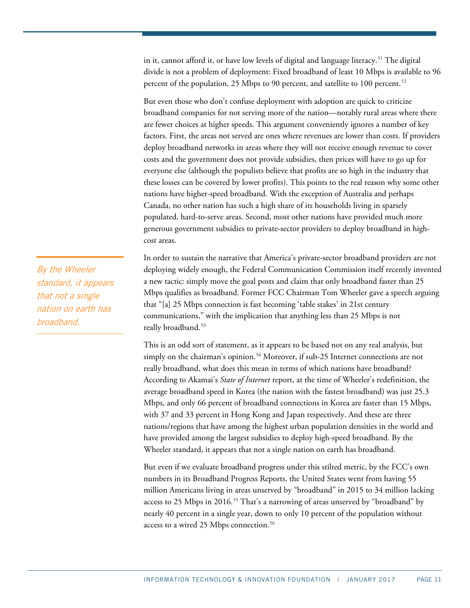in it, cannot afford it, or have low levels of digital and language literacy.<sup>[51](#page-23-0)</sup> The digital divide is not a problem of deployment: Fixed broadband of least 10 Mbps is available to 96 percent of the population, 25 Mbps to 90 percent, and satellite to 100 percent. $^{52}$  $^{52}$  $^{52}$ 

But even those who don't confuse deployment with adoption are quick to criticize broadband companies for not serving more of the nation—notably rural areas where there are fewer choices at higher speeds. This argument conveniently ignores a number of key factors. First, the areas not served are ones where revenues are lower than costs. If providers deploy broadband networks in areas where they will not receive enough revenue to cover costs and the government does not provide subsidies, then prices will have to go up for everyone else (although the populists believe that profits are so high in the industry that these losses can be covered by lower profits). This points to the real reason why some other nations have higher-speed broadband. With the exception of Australia and perhaps Canada, no other nation has such a high share of its households living in sparsely populated, hard-to-serve areas. Second, most other nations have provided much more generous government subsidies to private-sector providers to deploy broadband in highcost areas.

In order to sustain the narrative that America's private-sector broadband providers are not deploying widely enough, the Federal Communication Commission itself recently invented a new tactic: simply move the goal posts and claim that only broadband faster than 25 Mbps qualifies as broadband. Former FCC Chairman Tom Wheeler gave a speech arguing that "[a] 25 Mbps connection is fast becoming 'table stakes' in 21st century communications," with the implication that anything less than 25 Mbps is not really broadband. [53](#page-23-2)

This is an odd sort of statement, as it appears to be based not on any real analysis, but simply on the chairman's opinion.<sup>[54](#page-23-3)</sup> Moreover, if sub-25 Internet connections are not really broadband, what does this mean in terms of which nations have broadband? According to Akamai's *State of Internet* report, at the time of Wheeler's redefinition, the average broadband speed in Korea (the nation with the fastest broadband) was just 25.3 Mbps, and only 66 percent of broadband connections in Korea are faster than 15 Mbps, with 37 and 33 percent in Hong Kong and Japan respectively. And these are three nations/regions that have among the highest urban population densities in the world and have provided among the largest subsidies to deploy high-speed broadband. By the Wheeler standard, it appears that not a single nation on earth has broadband.

But even if we evaluate broadband progress under this stilted metric, by the FCC's own numbers in its Broadband Progress Reports, the United States went from having 55 million Americans living in areas unserved by "broadband" in 2015 to 34 million lacking access to 25 Mbps in 2016. [55](#page-23-4) That's a narrowing of areas unserved by "broadband" by nearly 40 percent in a single year, down to only 10 percent of the population without access to a wired 25 Mbps connection. [56](#page-23-5)

By the Wheeler standard, it appears that not a single nation on earth has broadband.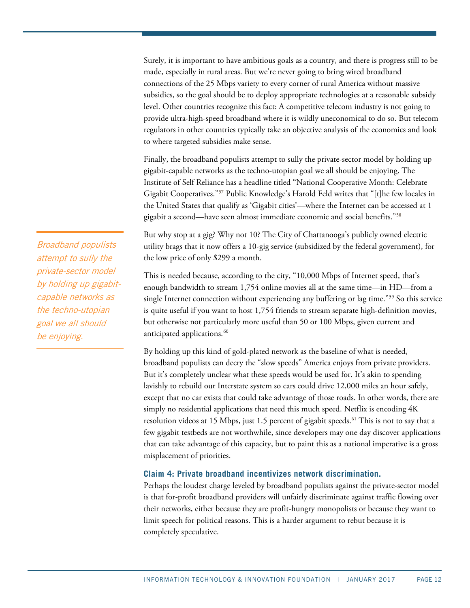Surely, it is important to have ambitious goals as a country, and there is progress still to be made, especially in rural areas. But we're never going to bring wired broadband connections of the 25 Mbps variety to every corner of rural America without massive subsidies, so the goal should be to deploy appropriate technologies at a reasonable subsidy level. Other countries recognize this fact: A competitive telecom industry is not going to provide ultra-high-speed broadband where it is wildly uneconomical to do so. But telecom regulators in other countries typically take an objective analysis of the economics and look to where targeted subsidies make sense.

Finally, the broadband populists attempt to sully the private-sector model by holding up gigabit-capable networks as the techno-utopian goal we all should be enjoying. The Institute of Self Reliance has a headline titled "National Cooperative Month: Celebrate Gigabit Cooperatives."[57](#page-23-6) Public Knowledge's Harold Feld writes that "[t]he few locales in the United States that qualify as 'Gigabit cities'—where the Internet can be accessed at 1 gigabit a second—have seen almost immediate economic and social benefits.["58](#page-23-7)

But why stop at a gig? Why not 10? The City of Chattanooga's publicly owned electric utility brags that it now offers a 10-gig service (subsidized by the federal government), for the low price of only \$299 a month.

This is needed because, according to the city, "10,000 Mbps of Internet speed, that's enough bandwidth to stream 1,754 online movies all at the same time—in HD—from a single Internet connection without experiencing any buffering or lag time."<sup>[59](#page-23-8)</sup> So this service is quite useful if you want to host 1,754 friends to stream separate high-definition movies, but otherwise not particularly more useful than 50 or 100 Mbps, given current and anticipated applications. [60](#page-23-9)

By holding up this kind of gold-plated network as the baseline of what is needed, broadband populists can decry the "slow speeds" America enjoys from private providers. But it's completely unclear what these speeds would be used for. It's akin to spending lavishly to rebuild our Interstate system so cars could drive 12,000 miles an hour safely, except that no car exists that could take advantage of those roads. In other words, there are simply no residential applications that need this much speed. Netflix is encoding 4K resolution videos at 15 Mbps, just 1.5 percent of gigabit speeds.<sup>[61](#page-23-10)</sup> This is not to say that a few gigabit testbeds are not worthwhile, since developers may one day discover applications that can take advantage of this capacity, but to paint this as a national imperative is a gross misplacement of priorities.

# **Claim 4: Private broadband incentivizes network discrimination.**

Perhaps the loudest charge leveled by broadband populists against the private-sector model is that for-profit broadband providers will unfairly discriminate against traffic flowing over their networks, either because they are profit-hungry monopolists or because they want to limit speech for political reasons. This is a harder argument to rebut because it is completely speculative.

Broadband populists attempt to sully the private-sector model by holding up gigabitcapable networks as the techno-utopian goal we all should be enjoying.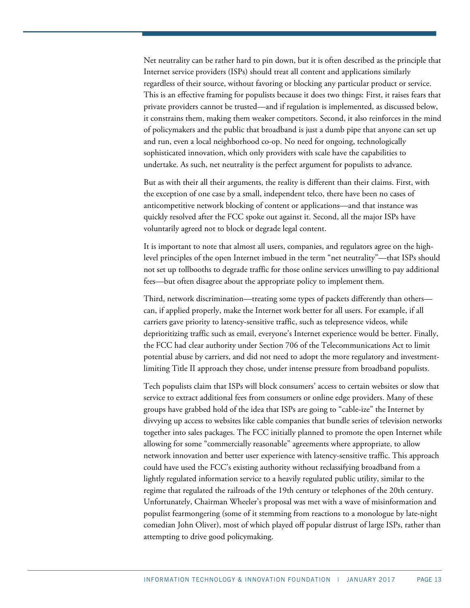Net neutrality can be rather hard to pin down, but it is often described as the principle that Internet service providers (ISPs) should treat all content and applications similarly regardless of their source, without favoring or blocking any particular product or service. This is an effective framing for populists because it does two things: First, it raises fears that private providers cannot be trusted—and if regulation is implemented, as discussed below, it constrains them, making them weaker competitors. Second, it also reinforces in the mind of policymakers and the public that broadband is just a dumb pipe that anyone can set up and run, even a local neighborhood co-op. No need for ongoing, technologically sophisticated innovation, which only providers with scale have the capabilities to undertake. As such, net neutrality is the perfect argument for populists to advance.

But as with their all their arguments, the reality is different than their claims. First, with the exception of one case by a small, independent telco, there have been no cases of anticompetitive network blocking of content or applications—and that instance was quickly resolved after the FCC spoke out against it. Second, all the major ISPs have voluntarily agreed not to block or degrade legal content.

It is important to note that almost all users, companies, and regulators agree on the highlevel principles of the open Internet imbued in the term "net neutrality"—that ISPs should not set up tollbooths to degrade traffic for those online services unwilling to pay additional fees—but often disagree about the appropriate policy to implement them.

Third, network discrimination—treating some types of packets differently than others can, if applied properly, make the Internet work better for all users. For example, if all carriers gave priority to latency-sensitive traffic, such as telepresence videos, while deprioritizing traffic such as email, everyone's Internet experience would be better. Finally, the FCC had clear authority under Section 706 of the Telecommunications Act to limit potential abuse by carriers, and did not need to adopt the more regulatory and investmentlimiting Title II approach they chose, under intense pressure from broadband populists.

Tech populists claim that ISPs will block consumers' access to certain websites or slow that service to extract additional fees from consumers or online edge providers. Many of these groups have grabbed hold of the idea that ISPs are going to "cable-ize" the Internet by divvying up access to websites like cable companies that bundle series of television networks together into sales packages. The FCC initially planned to promote the open Internet while allowing for some "commercially reasonable" agreements where appropriate, to allow network innovation and better user experience with latency-sensitive traffic. This approach could have used the FCC's existing authority without reclassifying broadband from a lightly regulated information service to a heavily regulated public utility, similar to the regime that regulated the railroads of the 19th century or telephones of the 20th century. Unfortunately, Chairman Wheeler's proposal was met with a wave of misinformation and populist fearmongering (some of it stemming from reactions to a monologue by late-night comedian John Oliver), most of which played off popular distrust of large ISPs, rather than attempting to drive good policymaking.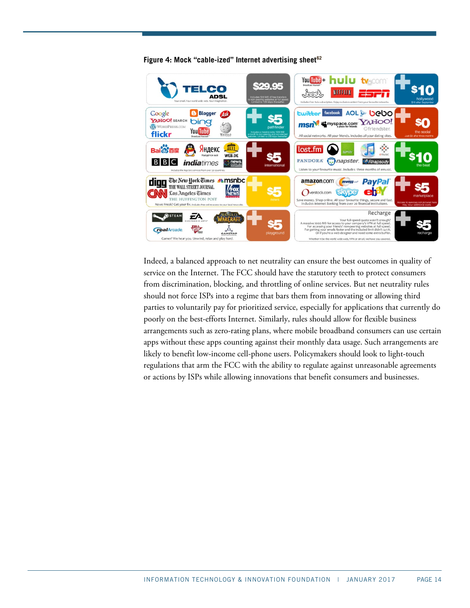

**Figure 4: Mock "cable-ized" Internet advertising sheet[62](#page-23-11)**

Indeed, a balanced approach to net neutrality can ensure the best outcomes in quality of service on the Internet. The FCC should have the statutory teeth to protect consumers from discrimination, blocking, and throttling of online services. But net neutrality rules should not force ISPs into a regime that bars them from innovating or allowing third parties to voluntarily pay for prioritized service, especially for applications that currently do poorly on the best-efforts Internet. Similarly, rules should allow for flexible business arrangements such as zero-rating plans, where mobile broadband consumers can use certain apps without these apps counting against their monthly data usage. Such arrangements are likely to benefit low-income cell-phone users. Policymakers should look to light-touch regulations that arm the FCC with the ability to regulate against unreasonable agreements or actions by ISPs while allowing innovations that benefit consumers and businesses.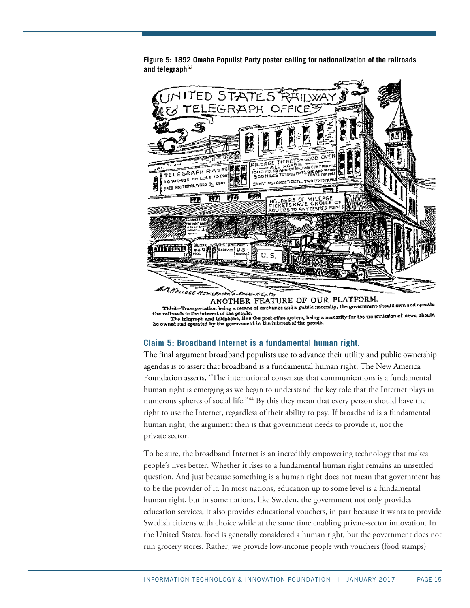

**Figure 5: 1892 Omaha Populist Party poster calling for nationalization of the railroads and telegraph[63](#page-23-12)**

Third....Transportation being a means of exchange and a guidine necessity, the government should own and operate<br>railroads in the interest of the peeple.<br>The total propose in the interest of the peeple.<br>The the means of t he owned and operated by the government in the interest of the people.

# **Claim 5: Broadband Internet is a fundamental human right.**

The final argument broadband populists use to advance their utility and public ownership agendas is to assert that broadband is a fundamental human right. The New America Foundation asserts, "The international consensus that communications is a fundamental human right is emerging as we begin to understand the key role that the Internet plays in numerous spheres of social life."[64](#page-23-13) By this they mean that every person should have the right to use the Internet, regardless of their ability to pay. If broadband is a fundamental human right, the argument then is that government needs to provide it, not the private sector.

To be sure, the broadband Internet is an incredibly empowering technology that makes people's lives better. Whether it rises to a fundamental human right remains an unsettled question. And just because something is a human right does not mean that government has to be the provider of it. In most nations, education up to some level is a fundamental human right, but in some nations, like Sweden, the government not only provides education services, it also provides educational vouchers, in part because it wants to provide Swedish citizens with choice while at the same time enabling private-sector innovation. In the United States, food is generally considered a human right, but the government does not run grocery stores. Rather, we provide low-income people with vouchers (food stamps)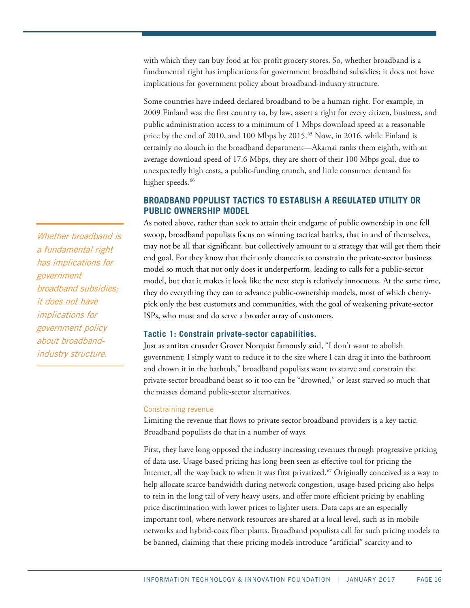with which they can buy food at for-profit grocery stores. So, whether broadband is a fundamental right has implications for government broadband subsidies; it does not have implications for government policy about broadband-industry structure.

Some countries have indeed declared broadband to be a human right. For example, in 2009 Finland was the first country to, by law, assert a right for every citizen, business, and public administration access to a minimum of 1 Mbps download speed at a reasonable price by the end of 2010, and 100 Mbps by 2015.<sup>[65](#page-23-14)</sup> Now, in 2016, while Finland is certainly no slouch in the broadband department—Akamai ranks them eighth, with an average download speed of 17.6 Mbps, they are short of their 100 Mbps goal, due to unexpectedly high costs, a public-funding crunch, and little consumer demand for higher speeds.<sup>[66](#page-24-0)</sup>

# **BROADBAND POPULIST TACTICS TO ESTABLISH A REGULATED UTILITY OR PUBLIC OWNERSHIP MODEL**

As noted above, rather than seek to attain their endgame of public ownership in one fell swoop, broadband populists focus on winning tactical battles, that in and of themselves, may not be all that significant, but collectively amount to a strategy that will get them their end goal. For they know that their only chance is to constrain the private-sector business model so much that not only does it underperform, leading to calls for a public-sector model, but that it makes it look like the next step is relatively innocuous. At the same time, they do everything they can to advance public-ownership models, most of which cherrypick only the best customers and communities, with the goal of weakening private-sector ISPs, who must and do serve a broader array of customers.

# **Tactic 1: Constrain private-sector capabilities.**

Just as antitax crusader Grover Norquist famously said, "I don't want to abolish government; I simply want to reduce it to the size where I can drag it into the bathroom and drown it in the bathtub," broadband populists want to starve and constrain the private-sector broadband beast so it too can be "drowned," or least starved so much that the masses demand public-sector alternatives.

### Constraining revenue

Limiting the revenue that flows to private-sector broadband providers is a key tactic. Broadband populists do that in a number of ways.

First, they have long opposed the industry increasing revenues through progressive pricing of data use. Usage-based pricing has long been seen as effective tool for pricing the Internet, all the way back to when it was first privatized.<sup>[67](#page-24-1)</sup> Originally conceived as a way to help allocate scarce bandwidth during network congestion, usage-based pricing also helps to rein in the long tail of very heavy users, and offer more efficient pricing by enabling price discrimination with lower prices to lighter users. Data caps are an especially important tool, where network resources are shared at a local level, such as in mobile networks and hybrid-coax fiber plants. Broadband populists call for such pricing models to be banned, claiming that these pricing models introduce "artificial" scarcity and to

Whether broadband is <sup>a</sup> fundamental right has implications for government broadband subsidies; it does not have implications for government policy about broadbandindustry structure.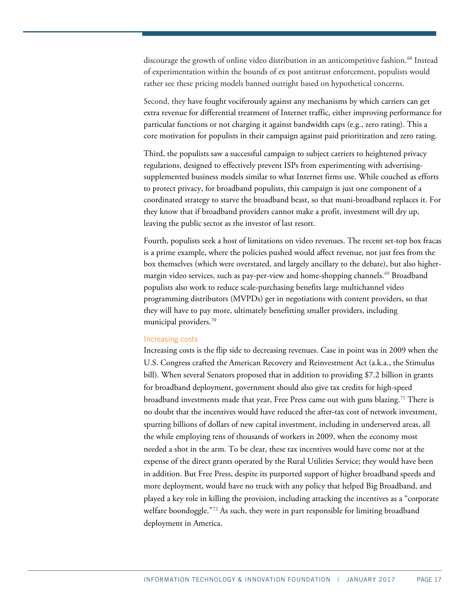discourage the growth of online video distribution in an anticompetitive fashion.<sup>[68](#page-24-2)</sup> Instead of experimentation within the bounds of ex post antitrust enforcement, populists would rather see these pricing models banned outright based on hypothetical concerns.

Second, they have fought vociferously against any mechanisms by which carriers can get extra revenue for differential treatment of Internet traffic, either improving performance for particular functions or not charging it against bandwidth caps (e.g., zero rating). This a core motivation for populists in their campaign against paid prioritization and zero rating.

Third, the populists saw a successful campaign to subject carriers to heightened privacy regulations, designed to effectively prevent ISPs from experimenting with advertisingsupplemented business models similar to what Internet firms use. While couched as efforts to protect privacy, for broadband populists, this campaign is just one component of a coordinated strategy to starve the broadband beast, so that muni-broadband replaces it. For they know that if broadband providers cannot make a profit, investment will dry up, leaving the public sector as the investor of last resort.

Fourth, populists seek a host of limitations on video revenues. The recent set-top box fracas is a prime example, where the policies pushed would affect revenue, not just fees from the box themselves (which were overstated, and largely ancillary to the debate), but also higher-margin video services, such as pay-per-view and home-shopping channels.<sup>[69](#page-24-3)</sup> Broadband populists also work to reduce scale-purchasing benefits large multichannel video programming distributors (MVPDs) get in negotiations with content providers, so that they will have to pay more, ultimately benefitting smaller providers, including municipal providers. [70](#page-24-4)

#### Increasing costs

Increasing costs is the flip side to decreasing revenues. Case in point was in 2009 when the U.S. Congress crafted the American Recovery and Reinvestment Act (a.k.a., the Stimulus bill). When several Senators proposed that in addition to providing \$7.2 billion in grants for broadband deployment, government should also give tax credits for high-speed broadband investments made that year, Free Press came out with guns blazing.[71](#page-24-5) There is no doubt that the incentives would have reduced the after-tax cost of network investment, spurring billions of dollars of new capital investment, including in underserved areas, all the while employing tens of thousands of workers in 2009, when the economy most needed a shot in the arm. To be clear, these tax incentives would have come not at the expense of the direct grants operated by the Rural Utilities Service; they would have been in addition. But Free Press, despite its purported support of higher broadband speeds and more deployment, would have no truck with any policy that helped Big Broadband, and played a key role in killing the provision, including attacking the incentives as a "corporate welfare boondoggle."<sup>[72](#page-24-6)</sup> As such, they were in part responsible for limiting broadband deployment in America.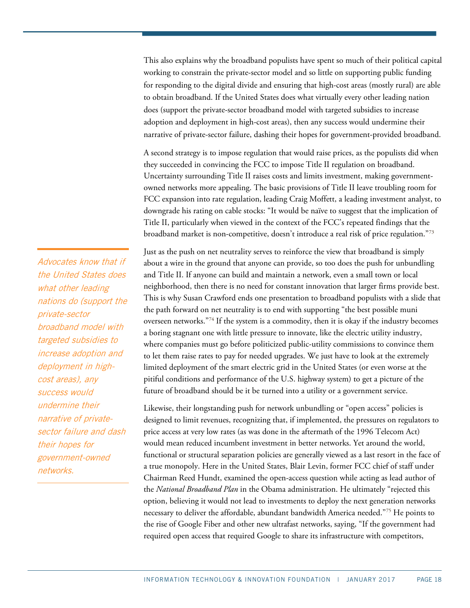This also explains why the broadband populists have spent so much of their political capital working to constrain the private-sector model and so little on supporting public funding for responding to the digital divide and ensuring that high-cost areas (mostly rural) are able to obtain broadband. If the United States does what virtually every other leading nation does (support the private-sector broadband model with targeted subsidies to increase adoption and deployment in high-cost areas), then any success would undermine their narrative of private-sector failure, dashing their hopes for government-provided broadband.

A second strategy is to impose regulation that would raise prices, as the populists did when they succeeded in convincing the FCC to impose Title II regulation on broadband. Uncertainty surrounding Title II raises costs and limits investment, making governmentowned networks more appealing. The basic provisions of Title II leave troubling room for FCC expansion into rate regulation, leading Craig Moffett, a leading investment analyst, to downgrade his rating on cable stocks: "It would be naïve to suggest that the implication of Title II, particularly when viewed in the context of the FCC's repeated findings that the broadband market is non-competitive, doesn't introduce a real risk of price regulation."[73](#page-24-7)

Just as the push on net neutrality serves to reinforce the view that broadband is simply about a wire in the ground that anyone can provide, so too does the push for unbundling and Title II. If anyone can build and maintain a network, even a small town or local neighborhood, then there is no need for constant innovation that larger firms provide best. This is why Susan Crawford ends one presentation to broadband populists with a slide that the path forward on net neutrality is to end with supporting "the best possible muni overseen networks.["74](#page-24-8) If the system is a commodity, then it is okay if the industry becomes a boring stagnant one with little pressure to innovate, like the electric utility industry, where companies must go before politicized public-utility commissions to convince them to let them raise rates to pay for needed upgrades. We just have to look at the extremely limited deployment of the smart electric grid in the United States (or even worse at the pitiful conditions and performance of the U.S. highway system) to get a picture of the future of broadband should be it be turned into a utility or a government service.

Likewise, their longstanding push for network unbundling or "open access" policies is designed to limit revenues, recognizing that, if implemented, the pressures on regulators to price access at very low rates (as was done in the aftermath of the 1996 Telecom Act) would mean reduced incumbent investment in better networks. Yet around the world, functional or structural separation policies are generally viewed as a last resort in the face of a true monopoly. Here in the United States, Blair Levin, former FCC chief of staff under Chairman Reed Hundt, examined the open-access question while acting as lead author of the *National Broadband Plan* in the Obama administration. He ultimately "rejected this option, believing it would not lead to investments to deploy the next generation networks necessary to deliver the affordable, abundant bandwidth America needed."[75](#page-24-9) He points to the rise of Google Fiber and other new ultrafast networks, saying, "If the government had required open access that required Google to share its infrastructure with competitors,

Advocates know that if the United States does what other leading nations do (support the private-sector broadband model with targeted subsidies to increase adoption and deployment in highcost areas), any success would undermine their narrative of privatesector failure and dash their hopes for government-owned networks.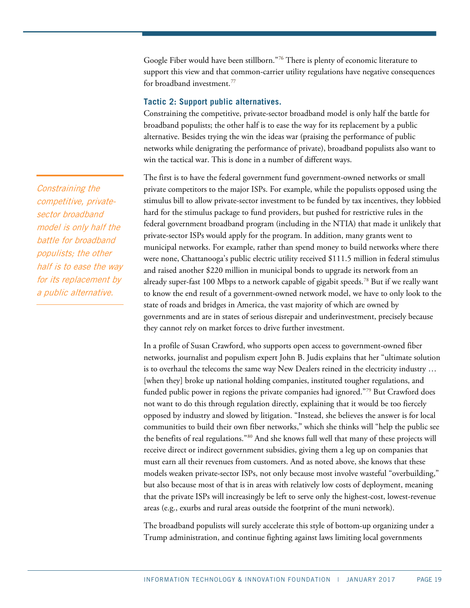Google Fiber would have been stillborn."[76](#page-24-10) There is plenty of economic literature to support this view and that common-carrier utility regulations have negative consequences for broadband investment.<sup>[77](#page-24-11)</sup>

## **Tactic 2: Support public alternatives.**

Constraining the competitive, private-sector broadband model is only half the battle for broadband populists; the other half is to ease the way for its replacement by a public alternative. Besides trying the win the ideas war (praising the performance of public networks while denigrating the performance of private), broadband populists also want to win the tactical war. This is done in a number of different ways.

The first is to have the federal government fund government-owned networks or small private competitors to the major ISPs. For example, while the populists opposed using the stimulus bill to allow private-sector investment to be funded by tax incentives, they lobbied hard for the stimulus package to fund providers, but pushed for restrictive rules in the federal government broadband program (including in the NTIA) that made it unlikely that private-sector ISPs would apply for the program. In addition, many grants went to municipal networks. For example, rather than spend money to build networks where there were none, Chattanooga's public electric utility received \$111.5 million in federal stimulus and raised another \$220 million in municipal bonds to upgrade its network from an already super-fast 100 Mbps to a network capable of gigabit speeds. [78](#page-24-12) But if we really want to know the end result of a government-owned network model, we have to only look to the state of roads and bridges in America, the vast majority of which are owned by governments and are in states of serious disrepair and underinvestment, precisely because they cannot rely on market forces to drive further investment.

In a profile of Susan Crawford, who supports open access to government-owned fiber networks, journalist and populism expert John B. Judis explains that her "ultimate solution is to overhaul the telecoms the same way New Dealers reined in the electricity industry … [when they] broke up national holding companies, instituted tougher regulations, and funded public power in regions the private companies had ignored."[79](#page-25-0) But Crawford does not want to do this through regulation directly, explaining that it would be too fiercely opposed by industry and slowed by litigation. "Instead, she believes the answer is for local communities to build their own fiber networks," which she thinks will "help the public see the benefits of real regulations."[80](#page-25-1) And she knows full well that many of these projects will receive direct or indirect government subsidies, giving them a leg up on companies that must earn all their revenues from customers. And as noted above, she knows that these models weaken private-sector ISPs, not only because most involve wasteful "overbuilding," but also because most of that is in areas with relatively low costs of deployment, meaning that the private ISPs will increasingly be left to serve only the highest-cost, lowest-revenue areas (e.g., exurbs and rural areas outside the footprint of the muni network).

The broadband populists will surely accelerate this style of bottom-up organizing under a Trump administration, and continue fighting against laws limiting local governments

Constraining the competitive, privatesector broadband model is only half the battle for broadband populists; the other half is to ease the way for its replacement by a public alternative.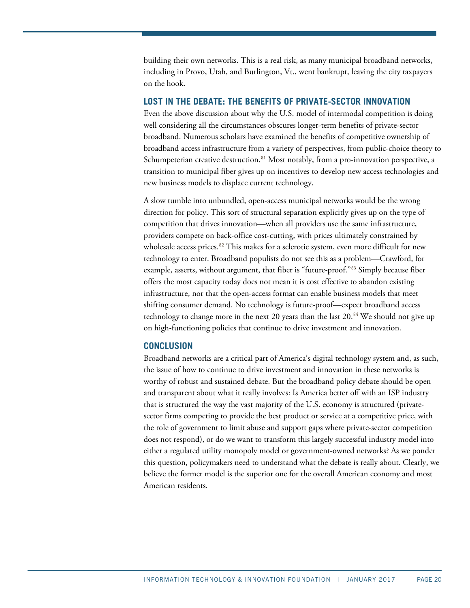building their own networks. This is a real risk, as many municipal broadband networks, including in Provo, Utah, and Burlington, Vt., went bankrupt, leaving the city taxpayers on the hook.

# **LOST IN THE DEBATE: THE BENEFITS OF PRIVATE-SECTOR INNOVATION**

Even the above discussion about why the U.S. model of intermodal competition is doing well considering all the circumstances obscures longer-term benefits of private-sector broadband. Numerous scholars have examined the benefits of competitive ownership of broadband access infrastructure from a variety of perspectives, from public-choice theory to Schumpeterian creative destruction.<sup>[81](#page-25-2)</sup> Most notably, from a pro-innovation perspective, a transition to municipal fiber gives up on incentives to develop new access technologies and new business models to displace current technology.

A slow tumble into unbundled, open-access municipal networks would be the wrong direction for policy. This sort of structural separation explicitly gives up on the type of competition that drives innovation—when all providers use the same infrastructure, providers compete on back-office cost-cutting, with prices ultimately constrained by wholesale access prices.<sup>82</sup> This makes for a sclerotic system, even more difficult for new technology to enter. Broadband populists do not see this as a problem—Crawford, for example, asserts, without argument, that fiber is "future-proof."<sup>[83](#page-25-4)</sup> Simply because fiber offers the most capacity today does not mean it is cost effective to abandon existing infrastructure, nor that the open-access format can enable business models that meet shifting consumer demand. No technology is future-proof—expect broadband access technology to change more in the next 20 years than the last 20. [84](#page-25-5) We should not give up on high-functioning policies that continue to drive investment and innovation.

## **CONCLUSION**

Broadband networks are a critical part of America's digital technology system and, as such, the issue of how to continue to drive investment and innovation in these networks is worthy of robust and sustained debate. But the broadband policy debate should be open and transparent about what it really involves: Is America better off with an ISP industry that is structured the way the vast majority of the U.S. economy is structured (privatesector firms competing to provide the best product or service at a competitive price, with the role of government to limit abuse and support gaps where private-sector competition does not respond), or do we want to transform this largely successful industry model into either a regulated utility monopoly model or government-owned networks? As we ponder this question, policymakers need to understand what the debate is really about. Clearly, we believe the former model is the superior one for the overall American economy and most American residents.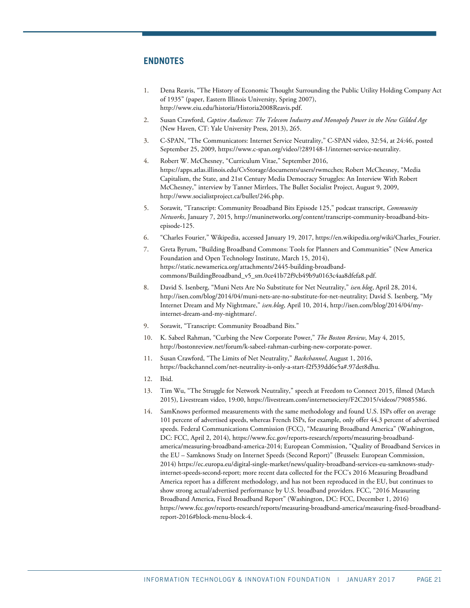# **ENDNOTES**

- <span id="page-20-0"></span>1. Dena Reavis, "The History of Economic Thought Surrounding the Public Utility Holding Company Act of 1935" (paper, Eastern Illinois University, Spring 2007), [http://www.eiu.edu/historia/Historia2008Reavis.pdf.](http://www.eiu.edu/historia/Historia2008Reavis.pdf)
- <span id="page-20-1"></span>2. Susan Crawford, *Captive Audience: The Telecom Industry and Monopoly Power in the New Gilded Age* (New Haven, CT: Yale University Press, 2013), 265.
- <span id="page-20-2"></span>3. C-SPAN, "The Communicators: Internet Service Neutrality," C-SPAN video, 32:54, at 24:46, posted September 25, 2009, [https://www.c-span.org/video/?289148-1/internet-service-neutrality.](https://www.c-span.org/video/?289148-1/internet-service-neutrality)
- <span id="page-20-3"></span>4. Robert W. McChesney, "Curriculum Vitae," September 2016, [https://apps.atlas.illinois.edu/CvStorage/documents/users/rwmcches;](https://apps.atlas.illinois.edu/CvStorage/documents/users/rwmcches) Robert McChesney, "Media Capitalism, the State, and 21st Century Media Democracy Struggles: An Interview With Robert McChesney," interview by Tanner Mirrlees, The Bullet Socialist Project, August 9, 2009, [http://www.socialistproject.ca/bullet/246.php.](http://www.socialistproject.ca/bullet/246.php)
- <span id="page-20-4"></span>5. Sorawit, "Transcript: Community Broadband Bits Episode 125," podcast transcript, *Community Networks*, January 7, 2015, [http://muninetworks.org/content/transcript-community-broadband-bits](http://muninetworks.org/content/transcript-community-broadband-bits-episode-125)[episode-125.](http://muninetworks.org/content/transcript-community-broadband-bits-episode-125)
- <span id="page-20-5"></span>6. "Charles Fourier," Wikipedia, accessed January 19, 2017, [https://en.wikipedia.org/wiki/Charles\\_Fourier.](https://en.wikipedia.org/wiki/Charles_Fourier)
- <span id="page-20-6"></span>7. Greta Byrum, "Building Broadband Commons: Tools for Planners and Communities" (New America Foundation and Open Technology Institute, March 15, 2014), [https://static.newamerica.org/attachments/2445-building-broadband](https://static.newamerica.org/attachments/2445-building-broadband-commons/BuildingBroadband_v5_sm.0ce41b72f9cb49b9a0163c4aa8dfefa8.pdf)[commons/BuildingBroadband\\_v5\\_sm.0ce41b72f9cb49b9a0163c4aa8dfefa8.pdf.](https://static.newamerica.org/attachments/2445-building-broadband-commons/BuildingBroadband_v5_sm.0ce41b72f9cb49b9a0163c4aa8dfefa8.pdf)
- <span id="page-20-7"></span>8. David S. Isenberg, "Muni Nets Are No Substitute for Net Neutrality," *isen.blog*, April 28, 2014, [http://isen.com/blog/2014/04/muni-nets-are-no-substitute-for-net-neutrality;](http://isen.com/blog/2014/04/muni-nets-are-no-substitute-for-net-neutrality/) David S. Isenberg, "My Internet Dream and My Nightmare," *isen.blog*, April 10, 2014, [http://isen.com/blog/2014/04/my](http://isen.com/blog/2014/04/my-internet-dream-and-my-nightmare/)[internet-dream-and-my-nightmare/.](http://isen.com/blog/2014/04/my-internet-dream-and-my-nightmare/)
- <span id="page-20-8"></span>9. Sorawit, "Transcript: Community Broadband Bits."
- <span id="page-20-9"></span>10. K. Sabeel Rahman, "Curbing the New Corporate Power," *The Boston Review*, May 4, 2015, [http://bostonreview.net/forum/k-sabeel-rahman-curbing-new-corporate-power.](http://bostonreview.net/forum/k-sabeel-rahman-curbing-new-corporate-power)
- <span id="page-20-10"></span>11. Susan Crawford, "The Limits of Net Neutrality," *Backchannel*, August 1, 2016, [https://backchannel.com/net-neutrality-is-only-a-start-f2f539dd6e5a#.97det8dhu.](https://backchannel.com/net-neutrality-is-only-a-start-f2f539dd6e5a#.97det8dhu)
- <span id="page-20-11"></span>12. Ibid.
- <span id="page-20-12"></span>13. Tim Wu, "The Struggle for Network Neutrality," speech at Freedom to Connect 2015, filmed (March 2015), Livestream video, 19:00, [https://livestream.com/internetsociety/F2C2015/videos/79085586.](https://livestream.com/internetsociety/F2C2015/videos/79085586)
- <span id="page-20-13"></span>14. SamKnows performed measurements with the same methodology and found U.S. ISPs offer on average 101 percent of advertised speeds, whereas French ISPs, for example, only offer 44.3 percent of advertised speeds. Federal Communications Commission (FCC), "Measuring Broadband America" (Washington, DC: FCC, April 2, 2014), [https://www.fcc.gov/reports-research/reports/measuring-broadband](https://www.fcc.gov/reports-research/reports/measuring-broadband-america/measuring-broadband-america-2014)[america/measuring-broadband-america-2014;](https://www.fcc.gov/reports-research/reports/measuring-broadband-america/measuring-broadband-america-2014) European Commission, "Quality of Broadband Services in the EU – Samknows Study on Internet Speeds (Second Report)" (Brussels: European Commission, 2014) https://ec.europa.eu/digital-single-market/news/quality-broadband-services-eu-samknows-studyinternet-speeds-second-report; more recent data collected for the FCC's 2016 Measuring Broadband America report has a different methodology, and has not been reproduced in the EU, but continues to show strong actual/advertised performance by U.S. broadband providers. FCC, "2016 Measuring Broadband America, Fixed Broadband Report" (Washington, DC: FCC, December 1, 2016) [https://www.fcc.gov/reports-research/reports/measuring-broadband-america/measuring-fixed-broadband](https://www.fcc.gov/reports-research/reports/measuring-broadband-america/measuring-fixed-broadband-report-2016#block-menu-block-4)[report-2016#block-menu-block-4.](https://www.fcc.gov/reports-research/reports/measuring-broadband-america/measuring-fixed-broadband-report-2016#block-menu-block-4)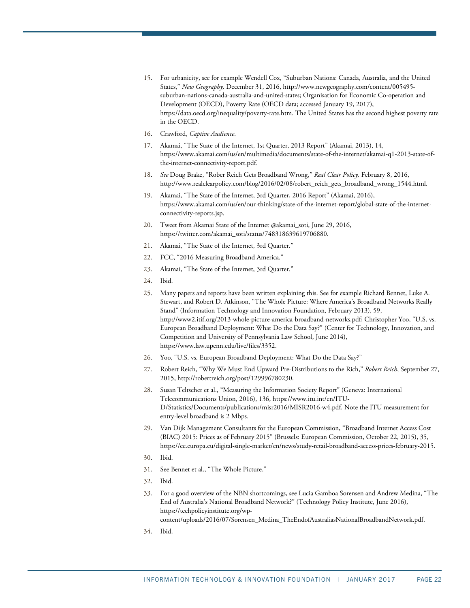- <span id="page-21-0"></span>15. For urbanicity, see for example Wendell Cox, "Suburban Nations: Canada, Australia, and the United States," *New Geography,* December 31, 2016[, http://www.newgeography.com/content/005495](http://www.newgeography.com/content/005495-suburban-nations-canada-australia-and-united-states) [suburban-nations-canada-australia-and-united-states;](http://www.newgeography.com/content/005495-suburban-nations-canada-australia-and-united-states) Organisation for Economic Co-operation and Development (OECD), Poverty Rate (OECD data; accessed January 19, 2017), [https://data.oecd.org/inequality/poverty-rate.htm.](https://data.oecd.org/inequality/poverty-rate.htm) The United States has the second highest poverty rate in the OECD.
- <span id="page-21-2"></span><span id="page-21-1"></span>16. Crawford, *Captive Audience*.
- 17. Akamai, "The State of the Internet, 1st Quarter, 2013 Report" (Akamai, 2013), 14, [https://www.akamai.com/us/en/multimedia/documents/state-of-the-internet/akamai-q1-2013-state-of](https://www.akamai.com/us/en/multimedia/documents/state-of-the-internet/akamai-q1-2013-state-of-the-internet-connectivity-report.pdf)[the-internet-connectivity-report.pdf.](https://www.akamai.com/us/en/multimedia/documents/state-of-the-internet/akamai-q1-2013-state-of-the-internet-connectivity-report.pdf)
- <span id="page-21-3"></span>18. *See* Doug Brake, "Rober Reich Gets Broadband Wrong," *Real Clear Policy,* February 8, 2016, [http://www.realclearpolicy.com/blog/2016/02/08/robert\\_reich\\_gets\\_broadband\\_wrong\\_1544.html.](http://www.realclearpolicy.com/blog/2016/02/08/robert_reich_gets_broadband_wrong_1544.html)
- <span id="page-21-4"></span>19. Akamai, "The State of the Internet, 3rd Quarter, 2016 Report" (Akamai, 2016), https://www.akamai.com/us/en/our-thinking/state-of-the-internet-report/global-state-of-the-internetconnectivity-reports.jsp.
- <span id="page-21-5"></span>20. Tweet from Akamai State of the Internet @akamai\_soti, June 29, 2016, [https://twitter.com/akamai\\_soti/status/748318639619706880.](https://twitter.com/akamai_soti/status/748318639619706880)
- <span id="page-21-6"></span>21. Akamai, "The State of the Internet, 3rd Quarter."
- <span id="page-21-7"></span>22. FCC, "2016 Measuring Broadband America."
- <span id="page-21-8"></span>23. Akamai, "The State of the Internet, 3rd Quarter."
- <span id="page-21-9"></span>24. Ibid.
- <span id="page-21-10"></span>25. Many papers and reports have been written explaining this. See for example Richard Bennet, Luke A. Stewart, and Robert D. Atkinson, "The Whole Picture: Where America's Broadband Networks Really Stand" (Information Technology and Innovation Foundation, February 2013), 59, [http://www2.itif.org/2013-whole-picture-america-broadband-networks.pdf;](http://www2.itif.org/2013-whole-picture-america-broadband-networks.pdf) Christopher Yoo, "U.S. vs. European Broadband Deployment: What Do the Data Say?" (Center for Technology, Innovation, and Competition and University of Pennsylvania Law School, June 2014), [https://www.law.upenn.edu/live/files/3352.](https://www.law.upenn.edu/live/files/3352)
- <span id="page-21-12"></span><span id="page-21-11"></span>26. Yoo, "U.S. vs. European Broadband Deployment: What Do the Data Say?"
- 27. Robert Reich, "Why We Must End Upward Pre-Distributions to the Rich," *Robert Reich*, September 27, 2015, http://robertreich.org/post/129996780230.
- <span id="page-21-13"></span>28. Susan Teltscher et al., "Measuring the Information Society Report" (Geneva: International Telecommunications Union, 2016), 136[, https://www.itu.int/en/ITU-](https://www.itu.int/en/ITU-D/Statistics/Documents/publications/misr2016/MISR2016-w4.pdf)[D/Statistics/Documents/publications/misr2016/MISR2016-w4.pdf.](https://www.itu.int/en/ITU-D/Statistics/Documents/publications/misr2016/MISR2016-w4.pdf) Note the ITU measurement for entry-level broadband is 2 Mbps.
- <span id="page-21-14"></span>29. Van Dijk Management Consultants for the European Commission, "Broadband Internet Access Cost (BIAC) 2015: Prices as of February 2015" (Brussels: European Commission, October 22, 2015), 35, https://ec.europa.eu/digital-single-market/en/news/study-retail-broadband-access-prices-february-2015.
- <span id="page-21-15"></span>30. Ibid.
- <span id="page-21-16"></span>31. See Bennet et al., "The Whole Picture."
- <span id="page-21-17"></span>32. Ibid.
- <span id="page-21-18"></span>33. For a good overview of the NBN shortcomings, see Lucia Gamboa Sorensen and Andrew Medina, "The End of Australia's National Broadband Network?" (Technology Policy Institute, June 2016), [https://techpolicyinstitute.org/wp](https://techpolicyinstitute.org/wp-content/uploads/2016/07/Sorensen_Medina_TheEndofAustraliasNationalBroadbandNetwork.pdf)
	- [content/uploads/2016/07/Sorensen\\_Medina\\_TheEndofAustraliasNationalBroadbandNetwork.pdf.](https://techpolicyinstitute.org/wp-content/uploads/2016/07/Sorensen_Medina_TheEndofAustraliasNationalBroadbandNetwork.pdf)
- <span id="page-21-19"></span>34. Ibid.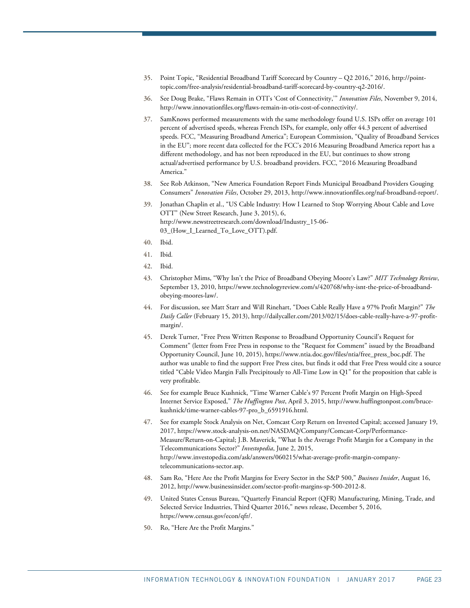- <span id="page-22-0"></span>35. Point Topic, "Residential Broadband Tariff Scorecard by Country – Q2 2016," 2016, [http://point](http://point-topic.com/free-analysis/residential-broadband-tariff-scorecard-by-country-q2-2016/)[topic.com/free-analysis/residential-broadband-tariff-scorecard-by-country-q2-2016/.](http://point-topic.com/free-analysis/residential-broadband-tariff-scorecard-by-country-q2-2016/)
- <span id="page-22-1"></span>36. See Doug Brake, "Flaws Remain in OTI's 'Cost of Connectivity,'" *Innovation Files*, November 9, 2014, [http://www.innovationfiles.org/flaws-remain-in-otis-cost-of-connectivity/.](http://www.innovationfiles.org/flaws-remain-in-otis-cost-of-connectivity/)
- <span id="page-22-2"></span>37. SamKnows performed measurements with the same methodology found U.S. ISPs offer on average 101 percent of advertised speeds, whereas French ISPs, for example, only offer 44.3 percent of advertised speeds. FCC, "Measuring Broadband America"; European Commission, "Quality of Broadband Services in the EU"; more recent data collected for the FCC's 2016 Measuring Broadband America report has a different methodology, and has not been reproduced in the EU, but continues to show strong actual/advertised performance by U.S. broadband providers. FCC, "2016 Measuring Broadband America."
- <span id="page-22-3"></span>38. See Rob Atkinson, "New America Foundation Report Finds Municipal Broadband Providers Gouging Consumers" *Innovation Files*, October 29, 2013, [http://www.innovationfiles.org/naf-broadband-report/.](http://www.innovationfiles.org/naf-broadband-report/)
- <span id="page-22-4"></span>39. Jonathan Chaplin et al., "US Cable Industry: How I Learned to Stop Worrying About Cable and Love OTT" (New Street Research, June 3, 2015), 6, [http://www.newstreetresearch.com/download/Industry\\_15-06-](http://www.newstreetresearch.com/download/Industry_15-06-03_(How_I_Learned_To_Love_OTT).pdf) [03\\_\(How\\_I\\_Learned\\_To\\_Love\\_OTT\).pdf.](http://www.newstreetresearch.com/download/Industry_15-06-03_(How_I_Learned_To_Love_OTT).pdf)
- <span id="page-22-5"></span>40. Ibid.
- <span id="page-22-6"></span>41. Ibid*.*
- <span id="page-22-7"></span>42. Ibid.
- <span id="page-22-8"></span>43. Christopher Mims, "Why Isn't the Price of Broadband Obeying Moore's Law?" *MIT Technology Review*, September 13, 2010, [https://www.technologyreview.com/s/420768/why-isnt-the-price-of-broadband](https://www.technologyreview.com/s/420768/why-isnt-the-price-of-broadband-obeying-moores-law/)[obeying-moores-law/.](https://www.technologyreview.com/s/420768/why-isnt-the-price-of-broadband-obeying-moores-law/)
- <span id="page-22-9"></span>44. For discussion, see Matt Starr and Will Rinehart, "Does Cable Really Have a 97% Profit Margin?" *The Daily Caller* (February 15, 2013)[, http://dailycaller.com/2013/02/15/does-cable-really-have-a-97-profit](http://dailycaller.com/2013/02/15/does-cable-really-have-a-97-profit-margin/)[margin/.](http://dailycaller.com/2013/02/15/does-cable-really-have-a-97-profit-margin/)
- <span id="page-22-10"></span>45. Derek Turner, "Free Press Written Response to Broadband Opportunity Council's Request for Comment" (letter from Free Press in response to the "Request for Comment" issued by the Broadband Opportunity Council, June 10, 2015)[, https://www.ntia.doc.gov/files/ntia/free\\_press\\_boc.pdf.](https://www.ntia.doc.gov/files/ntia/free_press_boc.pdf) The author was unable to find the support Free Press cites, but finds it odd that Free Press would cite a source titled "Cable Video Margin Falls Precipitously to All-Time Low in Q1" for the proposition that cable is very profitable.
- <span id="page-22-11"></span>46. See for example Bruce Kushnick, "Time Warner Cable's 97 Percent Profit Margin on High-Speed Internet Service Exposed," *The Huffington Post*, April 3, 2015, [http://www.huffingtonpost.com/bruce](http://www.huffingtonpost.com/bruce-kushnick/time-warner-cables-97-pro_b_6591916.html)[kushnick/time-warner-cables-97-pro\\_b\\_6591916.html.](http://www.huffingtonpost.com/bruce-kushnick/time-warner-cables-97-pro_b_6591916.html)
- <span id="page-22-12"></span>47. See for example Stock Analysis on Net, Comcast Corp Return on Invested Capital; accessed January 19, 2017, [https://www.stock-analysis-on.net/NASDAQ/Company/Comcast-Corp/Performance-](https://www.stock-analysis-on.net/NASDAQ/Company/Comcast-Corp/Performance-Measure/Return-on-Capital)[Measure/Return-on-Capital;](https://www.stock-analysis-on.net/NASDAQ/Company/Comcast-Corp/Performance-Measure/Return-on-Capital) J.B. Maverick, "What Is the Average Profit Margin for a Company in the Telecommunications Sector?" *Investopedia*, June 2, 2015, [http://www.investopedia.com/ask/answers/060215/what-average-profit-margin-company](http://www.investopedia.com/ask/answers/060215/what-average-profit-margin-company-telecommunications-sector.asp)[telecommunications-sector.asp.](http://www.investopedia.com/ask/answers/060215/what-average-profit-margin-company-telecommunications-sector.asp)
- <span id="page-22-13"></span>48. Sam Ro, "Here Are the Profit Margins for Every Sector in the S&P 500," *Business Insider*, August 16, 2012[, http://www.businessinsider.com/sector-profit-margins-sp-500-2012-8.](http://www.businessinsider.com/sector-profit-margins-sp-500-2012-8)
- <span id="page-22-14"></span>49. United States Census Bureau, "Quarterly Financial Report (QFR) Manufacturing, Mining, Trade, and Selected Service Industries, Third Quarter 2016," news release, December 5, 2016, [https://www.census.gov/econ/qfr/.](https://www.census.gov/econ/qfr/)
- <span id="page-22-15"></span>50. Ro, "Here Are the Profit Margins."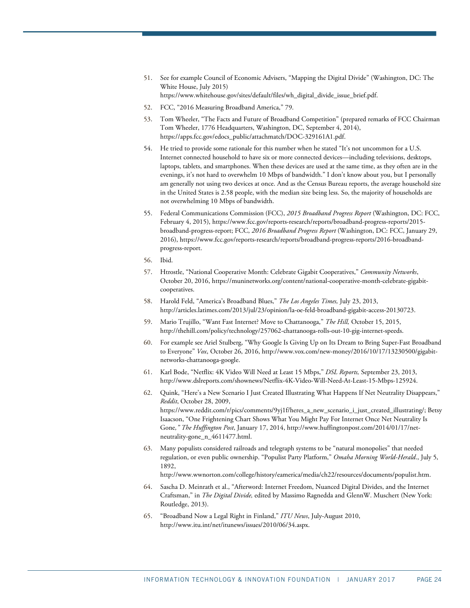- <span id="page-23-0"></span>51. See for example Council of Economic Advisers, "Mapping the Digital Divide" (Washington, DC: The White House, July 2015) [https://www.whitehouse.gov/sites/default/files/wh\\_digital\\_divide\\_issue\\_brief.pdf.](https://www.whitehouse.gov/sites/default/files/wh_digital_divide_issue_brief.pdf)
- 52. FCC, "2016 Measuring Broadband America," 79.
- <span id="page-23-2"></span><span id="page-23-1"></span>53. Tom Wheeler, "The Facts and Future of Broadband Competition" (prepared remarks of FCC Chairman Tom Wheeler, 1776 Headquarters, Washington, DC, September 4, 2014), [https://apps.fcc.gov/edocs\\_public/attachmatch/DOC-329161A1.pdf.](https://apps.fcc.gov/edocs_public/attachmatch/DOC-329161A1.pdf)
- <span id="page-23-3"></span>54. He tried to provide some rationale for this number when he stated "It's not uncommon for a U.S. Internet connected household to have six or more connected devices—including televisions, desktops, laptops, tablets, and smartphones. When these devices are used at the same time, as they often are in the evenings, it's not hard to overwhelm 10 Mbps of bandwidth." I don't know about you, but I personally am generally not using two devices at once. And as the Census Bureau reports, the average household size in the United States is 2.58 people, with the median size being less. So, the majority of households are not overwhelming 10 Mbps of bandwidth.
- <span id="page-23-4"></span>55. Federal Communications Commission (FCC), *2015 Broadband Progress Report* (Washington, DC: FCC, February 4, 2015)[, https://www.fcc.gov/reports-research/reports/broadband-progress-reports/2015](https://www.fcc.gov/reports-research/reports/broadband-progress-reports/2015-broadband-progress-report) [broadband-progress-report;](https://www.fcc.gov/reports-research/reports/broadband-progress-reports/2015-broadband-progress-report) FCC, *2016 Broadband Progress Report* (Washington, DC: FCC, January 29, 2016)[, https://www.fcc.gov/reports-research/reports/broadband-progress-reports/2016-broadband](https://www.fcc.gov/reports-research/reports/broadband-progress-reports/2016-broadband-progress-report)[progress-report.](https://www.fcc.gov/reports-research/reports/broadband-progress-reports/2016-broadband-progress-report)
- <span id="page-23-5"></span>56. Ibid.
- <span id="page-23-6"></span>57. Htrostle, "National Cooperative Month: Celebrate Gigabit Cooperatives," *Community Networks*, October 20, 2016, [https://muninetworks.org/content/national-cooperative-month-celebrate-gigabit](https://muninetworks.org/content/national-cooperative-month-celebrate-gigabit-cooperatives)[cooperatives.](https://muninetworks.org/content/national-cooperative-month-celebrate-gigabit-cooperatives)
- <span id="page-23-7"></span>58. Harold Feld, "America's Broadband Blues," *The Los Angeles Times,* July 23, 2013, http://articles.latimes.com/2013/jul/23/opinion/la-oe-feld-broadband-gigabit-access-20130723.
- <span id="page-23-8"></span>59. Mario Trujillo, "Want Fast Internet? Move to Chattanooga," *The Hill,* October 15, 2015, http://thehill.com/policy/technology/257062-chattanooga-rolls-out-10-gig-internet-speeds.
- <span id="page-23-9"></span>60. For example see Ariel Stulberg, "Why Google Is Giving Up on Its Dream to Bring Super-Fast Broadband to Everyone" *Vox*, October 26, 2016, [http://www.vox.com/new-money/2016/10/17/13230500/gigabit](http://www.vox.com/new-money/2016/10/17/13230500/gigabit-networks-chattanooga-google)[networks-chattanooga-google.](http://www.vox.com/new-money/2016/10/17/13230500/gigabit-networks-chattanooga-google)
- <span id="page-23-10"></span>61. Karl Bode, "Netflix: 4K Video Will Need at Least 15 Mbps," *DSL Reports,* September 23, 2013, [http://www.dslreports.com/shownews/Netflix-4K-Video-Will-Need-At-Least-15-Mbps-125924.](http://www.dslreports.com/shownews/Netflix-4K-Video-Will-Need-At-Least-15-Mbps-125924)
- <span id="page-23-11"></span>62. Quink, "Here's a New Scenario I Just Created Illustrating What Happens If Net Neutrality Disappears," *Reddit*, October 28, 2009, https://www.reddit.com/r/pics/comments/9yj1f/heres\_a\_new\_scenario\_i\_just\_created\_illustrating/; Betsy Isaacson, "One Frightening Chart Shows What You Might Pay For Internet Once Net Neutrality Is Gone*," The Huffington Post*, January 17, 2014, http://www.huffingtonpost.com/2014/01/17/netneutrality-gone\_n\_4611477.html.
- <span id="page-23-12"></span>63. Many populists considered railroads and telegraph systems to be "natural monopolies" that needed regulation, or even public ownership. "Populist Party Platform," *Omaha Morning World-Herald*., July 5, 1892,

[http://www.wwnorton.com/college/history/eamerica/media/ch22/resources/documents/populist.htm.](http://www.wwnorton.com/college/history/eamerica/media/ch22/resources/documents/populist.htm) 

- <span id="page-23-13"></span>64. Sascha D. Meinrath et al., "Afterword: Internet Freedom, Nuanced Digital Divides, and the Internet Craftsman," in *The Digital Divide,* edited by Massimo Ragnedda and GlennW. Muschert (New York: Routledge, 2013).
- <span id="page-23-14"></span>65. "Broadband Now a Legal Right in Finland," *ITU News*, July-August 2010, [http://www.itu.int/net/itunews/issues/2010/06/34.aspx.](http://www.itu.int/net/itunews/issues/2010/06/34.aspx)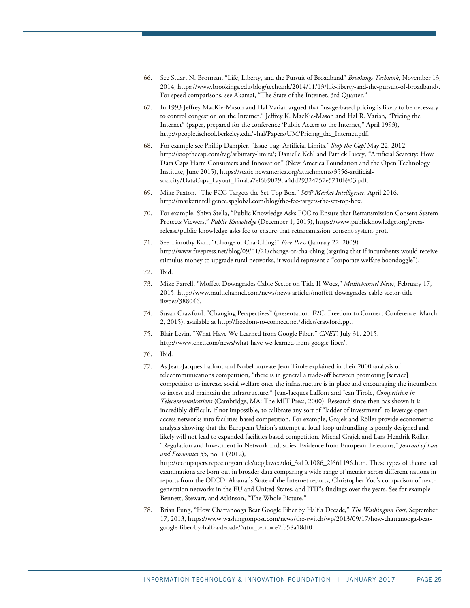- <span id="page-24-0"></span>66. See Stuart N. Brotman, "Life, Liberty, and the Pursuit of Broadband" *Brookings Techtank*, November 13, 2014[, https://www.brookings.edu/blog/techtank/2014/11/13/life-liberty-and-the-pursuit-of-broadband/.](https://www.brookings.edu/blog/techtank/2014/11/13/life-liberty-and-the-pursuit-of-broadband/) For speed comparisons, see Akamai, "The State of the Internet, 3rd Quarter."
- <span id="page-24-1"></span>67. In 1993 Jeffrey MacKie-Mason and Hal Varian argued that "usage-based pricing is likely to be necessary to control congestion on the Internet." Jeffrey K. MacKie-Mason and Hal R. Varian, "Pricing the Internet" (paper, prepared for the conference 'Public Access to the Internet," April 1993), [http://people.ischool.berkeley.edu/~hal/Papers/UM/Pricing\\_the\\_Internet.pdf.](http://people.ischool.berkeley.edu/%7Ehal/Papers/UM/Pricing_the_Internet.pdf)
- <span id="page-24-2"></span>68. For example see Phillip Dampier, "Issue Tag: Artificial Limits," *Stop the Cap!* May 22, 2012, http://stopthecap.com/tag/arbitrary-limits/; Danielle Kehl and Patrick Lucey, "Artificial Scarcity: How Data Caps Harm Consumers and Innovation" (New America Foundation and the Open Technology Institute, June 2015), https://static.newamerica.org/attachments/3556-artificialscarcity/DataCaps\_Layout\_Final.a7ef6b9029da4dd29324757e5710b903.pdf.
- <span id="page-24-3"></span>69. Mike Paxton, "The FCC Targets the Set-Top Box," *S&P Market Intelligence,* April 2016, [http://marketintelligence.spglobal.com/blog/the-fcc-targets-the-set-top-box.](http://marketintelligence.spglobal.com/blog/the-fcc-targets-the-set-top-box)
- <span id="page-24-4"></span>70. For example, Shiva Stella, "Public Knowledge Asks FCC to Ensure that Retransmission Consent System Protects Viewers," *Public Knowledge* (December 1, 2015)[, https://www.publicknowledge.org/press](https://www.publicknowledge.org/press-release/public-knowledge-asks-fcc-to-ensure-that-retransmission-consent-system-prot)[release/public-knowledge-asks-fcc-to-ensure-that-retransmission-consent-system-prot.](https://www.publicknowledge.org/press-release/public-knowledge-asks-fcc-to-ensure-that-retransmission-consent-system-prot)
- <span id="page-24-5"></span>71. See Timothy Karr, "Change or Cha-Ching?" *Free Press* (January 22, 2009) <http://www.freepress.net/blog/09/01/21/change-or-cha-ching> (arguing that if incumbents would receive stimulus money to upgrade rural networks, it would represent a "corporate welfare boondoggle").
- <span id="page-24-6"></span>72. Ibid.
- <span id="page-24-7"></span>73. Mike Farrell, "Moffett Downgrades Cable Sector on Title II Woes," *Mulitchannel News*, February 17, 2015, http://www.multichannel.com/news/news-articles/moffett-downgrades-cable-sector-titleiiwoes/388046.
- <span id="page-24-8"></span>74. Susan Crawford, "Changing Perspectives" (presentation, F2C: Freedom to Connect Conference, March 2, 2015), available a[t http://freedom-to-connect.net/slides/crawford.ppt.](http://freedom-to-connect.net/slides/crawford.ppt)
- <span id="page-24-9"></span>75. Blair Levin, "What Have We Learned from Google Fiber," *CNET*, July 31, 2015, http://www.cnet.com/news/what-have-we-learned-from-google-fiber/.
- <span id="page-24-10"></span>76. Ibid.
- <span id="page-24-11"></span>77. As Jean-Jacques Laffont and Nobel laureate Jean Tirole explained in their 2000 analysis of telecommunications competition, "there is in general a trade-off between promoting [service] competition to increase social welfare once the infrastructure is in place and encouraging the incumbent to invest and maintain the infrastructure." Jean-Jacques Laffont and Jean Tirole, *Competition in Telecommunications* (Cambridge, MA: The MIT Press, 2000). Research since then has shown it is incredibly difficult, if not impossible, to calibrate any sort of "ladder of investment" to leverage openaccess networks into facilities-based competition. For example, Grajek and Röller provide econometric analysis showing that the European Union's attempt at local loop unbundling is poorly designed and likely will not lead to expanded facilities-based competition. Michal Grajek and Lars-Hendrik Röller, "Regulation and Investment in Network Industries: Evidence from European Telecoms," *Journal of Law and Economics 55*, no. 1 (2012),

http://econpapers.repec.org/article/ucpjlawec/doi\_3a10.1086\_2f661196.htm. These types of theoretical examinations are born out in broader data comparing a wide range of metrics across different nations in reports from the OECD, Akamai's State of the Internet reports, Christopher Yoo's comparison of nextgeneration networks in the EU and United States, and ITIF's findings over the years. See for example Bennett, Stewart, and Atkinson, "The Whole Picture."

<span id="page-24-12"></span>78. Brian Fung, "How Chattanooga Beat Google Fiber by Half a Decade," *The Washington Post*, September 17, 2013, [https://www.washingtonpost.com/news/the-switch/wp/2013/09/17/how-chattanooga-beat](https://www.washingtonpost.com/news/the-switch/wp/2013/09/17/how-chattanooga-beat-google-fiber-by-half-a-decade/?utm_term=.e2fb58a18df0)[google-fiber-by-half-a-decade/?utm\\_term=.e2fb58a18df0.](https://www.washingtonpost.com/news/the-switch/wp/2013/09/17/how-chattanooga-beat-google-fiber-by-half-a-decade/?utm_term=.e2fb58a18df0)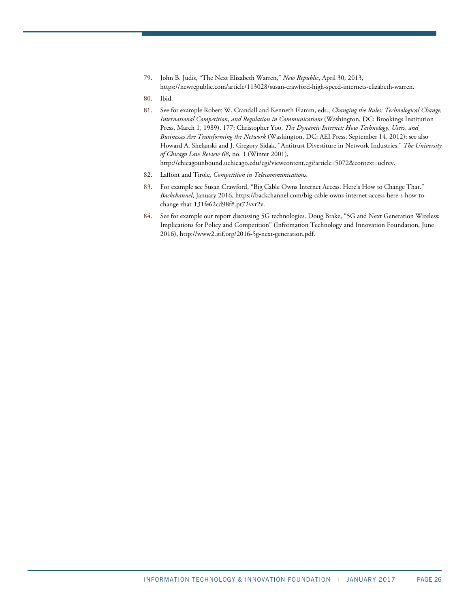<span id="page-25-0"></span>79. John B. Judis, "The Next Elizabeth Warren," *New Republic*, April 30, 2013, [https://newrepublic.com/article/113028/susan-crawford-high-speed-internets-elizabeth-warren.](https://newrepublic.com/article/113028/susan-crawford-high-speed-internets-elizabeth-warren) 

<span id="page-25-1"></span>80. Ibid.

- <span id="page-25-2"></span>81. See for example Robert W. Crandall and Kenneth Flamm, eds., *Changing the Rules: Technological Change, International Competition, and Regulation in Communications* (Washington, DC: Brookings Institution Press, March 1, 1989), 177; Christopher Yoo, *The Dynamic Internet: How Technology, Users, and Businesses Are Transforming the Network* (Washington, DC: AEI Press, September 14, 2012); see also Howard A. Shelanski and J. Gregory Sidak, "Antitrust Divestiture in Network Industries," *The University of Chicago Law Review 68*, no. 1 (Winter 2001), http://chicagounbound.uchicago.edu/cgi/viewcontent.cgi?article=5072&context=uclrev.
- <span id="page-25-4"></span><span id="page-25-3"></span>82. Laffont and Tirole, *Competition in Telecommunications*.
- 83. For example see Susan Crawford, "Big Cable Owns Internet Access. Here's How to Change That." *Backchannel*, January 2016[, https://backchannel.com/big-cable-owns-internet-access-here-s-how-to](https://backchannel.com/big-cable-owns-internet-access-here-s-how-to-change-that-131fe62cd98f#.pt72vvr2v)[change-that-131fe62cd98f#.pt72vvr2v.](https://backchannel.com/big-cable-owns-internet-access-here-s-how-to-change-that-131fe62cd98f#.pt72vvr2v)
- <span id="page-25-5"></span>84. See for example our report discussing 5G technologies. Doug Brake, "5G and Next Generation Wireless: Implications for Policy and Competition" (Information Technology and Innovation Foundation, June 2016)[, http://www2.itif.org/2016-5g-next-generation.pdf.](http://www2.itif.org/2016-5g-next-generation.pdf)